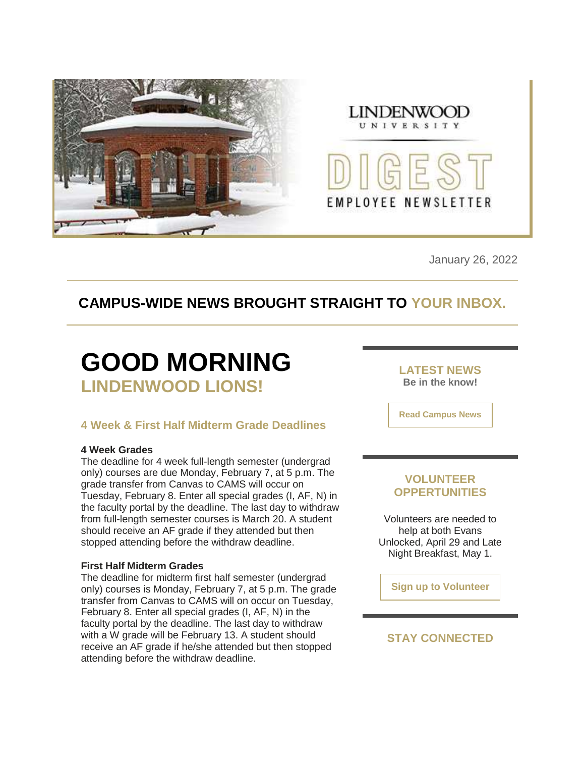



January 26, 2022

### **CAMPUS-WIDE NEWS BROUGHT STRAIGHT TO YOUR INBOX.**

# **GOOD MORNING LINDENWOOD LIONS!**

### **4 Week & First Half Midterm Grade Deadlines**

#### **4 Week Grades**

The deadline for 4 week full-length semester (undergrad only) courses are due Monday, February 7, at 5 p.m. The grade transfer from Canvas to CAMS will occur on Tuesday, February 8. Enter all special grades (I, AF, N) in the faculty portal by the deadline. The last day to withdraw from full-length semester courses is March 20. A student should receive an AF grade if they attended but then stopped attending before the withdraw deadline.

#### **First Half Midterm Grades**

The deadline for midterm first half semester (undergrad only) courses is Monday, February 7, at 5 p.m. The grade transfer from Canvas to CAMS will on occur on Tuesday, February 8. Enter all special grades (I, AF, N) in the faculty portal by the deadline. The last day to withdraw with a W grade will be February 13. A student should receive an AF grade if he/she attended but then stopped attending before the withdraw deadline.

**LATEST NEWS Be in the know!** 

**[Read Campus News](https://nam04.safelinks.protection.outlook.com/?url=https%3A%2F%2Fr20.rs6.net%2Ftn.jsp%3Ff%3D0016clPOk0z6ozMOL9gi8fDOdQB1GOH76nnbc1mCVafmjIS_ncM8N-CUp5fcmLKECRBJw8kIIkBffbLVJ_lo10A7Ek9nbARYW6jXYQmP0gt2RpO-mpMBp7j-cRsEK_0mqMXfFGItlEi8OT2dlZKxAW47stsLrjEHDS8JmiUv28BjJI%3D%26c%3D4syhbrVWvEvuy3nJ6UehLKvKPg9XGZ8cdU4p_W3Enw4aG_K9A-buiA%3D%3D%26ch%3DYqQJpsCrLfE9mSU_pap2RSvapfkctnOoIe6Gy4V0z5RXcP-ThmnGdg%3D%3D&data=04%7C01%7Cphuffman%40lindenwood.edu%7C245929402bf04f794ad708d9e0e0d585%7C3d72f08e540a4c68905d9e69c4d9c61e%7C1%7C0%7C637788078536020339%7CUnknown%7CTWFpbGZsb3d8eyJWIjoiMC4wLjAwMDAiLCJQIjoiV2luMzIiLCJBTiI6Ik1haWwiLCJXVCI6Mn0%3D%7C3000&sdata=OsDxt0PIBP2FwWi6Pk%2FpDTvbJDT7A%2FIAthFsXjcsC8U%3D&reserved=0)**

### **VOLUNTEER OPPERTUNITIES**

Volunteers are needed to help at both Evans Unlocked, April 29 and Late Night Breakfast, May 1.

**[Sign up to Volunteer](https://nam04.safelinks.protection.outlook.com/?url=https%3A%2F%2Fr20.rs6.net%2Ftn.jsp%3Ff%3D0016clPOk0z6ozMOL9gi8fDOdQB1GOH76nnbc1mCVafmjIS_ncM8N-CUhDRMiDybvHx5yiMR8UzTvg4pbJEkIGqvXYtVHEh_Lk4muiVenedR5I2iHzFNV5TyexhvSYjckQWF5A27Yb4n2UxlPDJMszv5APWQk6GhC4wscTzRlhDCPc0de97hPWnfJATNedUvSDoH6DpO509rMCbU4Iq__yWSxYDulDIC8grQORE_U3o9m5V94UmaIXB96lRe-BGsRmd7BJKNfe9c6BnxHVPuIvq_1PNSa_5ihHE0ck31g_9hRnLI7djPS_JmDbOf5jBmAcz%26c%3D4syhbrVWvEvuy3nJ6UehLKvKPg9XGZ8cdU4p_W3Enw4aG_K9A-buiA%3D%3D%26ch%3DYqQJpsCrLfE9mSU_pap2RSvapfkctnOoIe6Gy4V0z5RXcP-ThmnGdg%3D%3D&data=04%7C01%7Cphuffman%40lindenwood.edu%7C245929402bf04f794ad708d9e0e0d585%7C3d72f08e540a4c68905d9e69c4d9c61e%7C1%7C0%7C637788078536020339%7CUnknown%7CTWFpbGZsb3d8eyJWIjoiMC4wLjAwMDAiLCJQIjoiV2luMzIiLCJBTiI6Ik1haWwiLCJXVCI6Mn0%3D%7C3000&sdata=w1%2BFtK8y8lwIHjQRRLhlG3Ow91X9BljqLxJ3YdD7BKA%3D&reserved=0)**

### **STAY CONNECTED**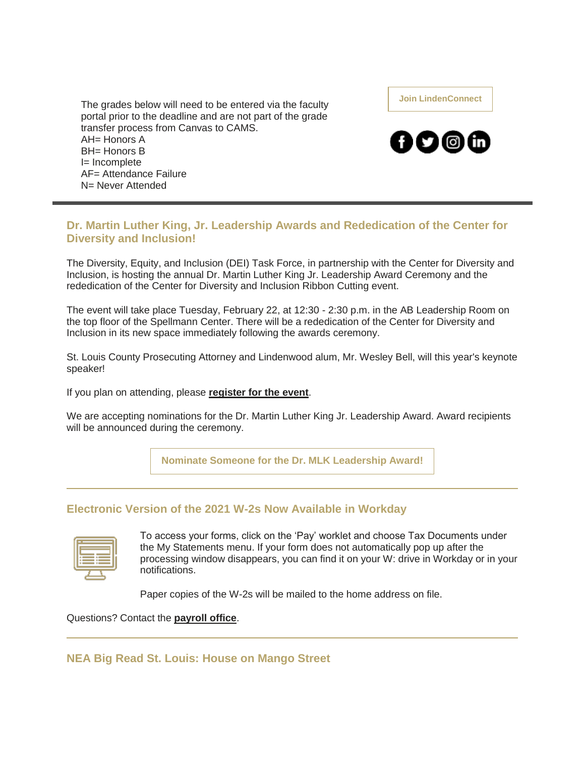The grades below will need to be entered via the faculty portal prior to the deadline and are not part of the grade transfer process from Canvas to CAMS.  $AH=$  Honors A BH= Honors B I= Incomplete AF= Attendance Failure N= Never Attended

**[Join LindenConnect](https://nam04.safelinks.protection.outlook.com/?url=https%3A%2F%2Fr20.rs6.net%2Ftn.jsp%3Ff%3D0016clPOk0z6ozMOL9gi8fDOdQB1GOH76nnbc1mCVafmjIS_ncM8N-CUiJk6yULC-L4dbJONrbISRSE9svz8nDYjZm_SxmBzQFsHgn0PRgokRM1wFG4g4pkEF7-oTmGkWHU4bZKpX-5A0rS3hRBZQPUwrzHy4k8pno6WzTACqBzuVU%3D%26c%3D4syhbrVWvEvuy3nJ6UehLKvKPg9XGZ8cdU4p_W3Enw4aG_K9A-buiA%3D%3D%26ch%3DYqQJpsCrLfE9mSU_pap2RSvapfkctnOoIe6Gy4V0z5RXcP-ThmnGdg%3D%3D&data=04%7C01%7Cphuffman%40lindenwood.edu%7C245929402bf04f794ad708d9e0e0d585%7C3d72f08e540a4c68905d9e69c4d9c61e%7C1%7C0%7C637788078536020339%7CUnknown%7CTWFpbGZsb3d8eyJWIjoiMC4wLjAwMDAiLCJQIjoiV2luMzIiLCJBTiI6Ik1haWwiLCJXVCI6Mn0%3D%7C3000&sdata=NSWDIka4jJUsfD0FrCM4eyCDXdNbWqkWwwUxCKX0FbE%3D&reserved=0)**



### **Dr. Martin Luther King, Jr. Leadership Awards and Rededication of the Center for Diversity and Inclusion!**

The Diversity, Equity, and Inclusion (DEI) Task Force, in partnership with the Center for Diversity and Inclusion, is hosting the annual Dr. Martin Luther King Jr. Leadership Award Ceremony and the rededication of the Center for Diversity and Inclusion Ribbon Cutting event.

The event will take place Tuesday, February 22, at 12:30 - 2:30 p.m. in the AB Leadership Room on the top floor of the Spellmann Center. There will be a rededication of the Center for Diversity and Inclusion in its new space immediately following the awards ceremony.

St. Louis County Prosecuting Attorney and Lindenwood alum, Mr. Wesley Bell, will this year's keynote speaker!

If you plan on attending, please **[register for the event](https://nam04.safelinks.protection.outlook.com/?url=https%3A%2F%2Fr20.rs6.net%2Ftn.jsp%3Ff%3D0016clPOk0z6ozMOL9gi8fDOdQB1GOH76nnbc1mCVafmjIS_ncM8N-CUkGjYbkWLtOSlKhSwYD2abDaXSDmbKu8OSyKWzBfOXjvwhKCsQPffeFTgQb6DwSkBVuA8sK10cDaY2e-IqpPjZYbP3Okn2sjLaC5i5WeoSv4VP59AtA7WlHqxYyuyxVLEA%3D%3D%26c%3D4syhbrVWvEvuy3nJ6UehLKvKPg9XGZ8cdU4p_W3Enw4aG_K9A-buiA%3D%3D%26ch%3DYqQJpsCrLfE9mSU_pap2RSvapfkctnOoIe6Gy4V0z5RXcP-ThmnGdg%3D%3D&data=04%7C01%7Cphuffman%40lindenwood.edu%7C245929402bf04f794ad708d9e0e0d585%7C3d72f08e540a4c68905d9e69c4d9c61e%7C1%7C0%7C637788078536020339%7CUnknown%7CTWFpbGZsb3d8eyJWIjoiMC4wLjAwMDAiLCJQIjoiV2luMzIiLCJBTiI6Ik1haWwiLCJXVCI6Mn0%3D%7C3000&sdata=Edq11ahPn9jLv0jH3zyFWaxSG3MXQZiflR6%2FgvlG8ds%3D&reserved=0)**.

We are accepting nominations for the Dr. Martin Luther King Jr. Leadership Award. Award recipients will be announced during the ceremony.

**[Nominate Someone for the Dr. MLK Leadership Award!](https://nam04.safelinks.protection.outlook.com/?url=https%3A%2F%2Fr20.rs6.net%2Ftn.jsp%3Ff%3D0016clPOk0z6ozMOL9gi8fDOdQB1GOH76nnbc1mCVafmjIS_ncM8N-CUkGjYbkWLtOScCQXdQgXURjKfXrwq58hYTXLL2ZOD4ll85wb16C2_EOElfC2Jg3WagpZ29QbsoOixZ1TgYcT8NmvJmgSDkwaW2k9H2NSfDrTd_SVNEdfQ-U%3D%26c%3D4syhbrVWvEvuy3nJ6UehLKvKPg9XGZ8cdU4p_W3Enw4aG_K9A-buiA%3D%3D%26ch%3DYqQJpsCrLfE9mSU_pap2RSvapfkctnOoIe6Gy4V0z5RXcP-ThmnGdg%3D%3D&data=04%7C01%7Cphuffman%40lindenwood.edu%7C245929402bf04f794ad708d9e0e0d585%7C3d72f08e540a4c68905d9e69c4d9c61e%7C1%7C0%7C637788078536020339%7CUnknown%7CTWFpbGZsb3d8eyJWIjoiMC4wLjAwMDAiLCJQIjoiV2luMzIiLCJBTiI6Ik1haWwiLCJXVCI6Mn0%3D%7C3000&sdata=yvHSSkByGLMk8zj5qiUfbKgJB%2FZLWmc6NBywEwrcquo%3D&reserved=0)**

### **Electronic Version of the 2021 W-2s Now Available in Workday**

To access your forms, click on the 'Pay' worklet and choose Tax Documents under the My Statements menu. If your form does not automatically pop up after the processing window disappears, you can find it on your W: drive in Workday or in your notifications.

Paper copies of the W-2s will be mailed to the home address on file.

Questions? Contact the **[payroll office](mailto:payroll@lindenwood.edu)**.

**NEA Big Read St. Louis: House on Mango Street**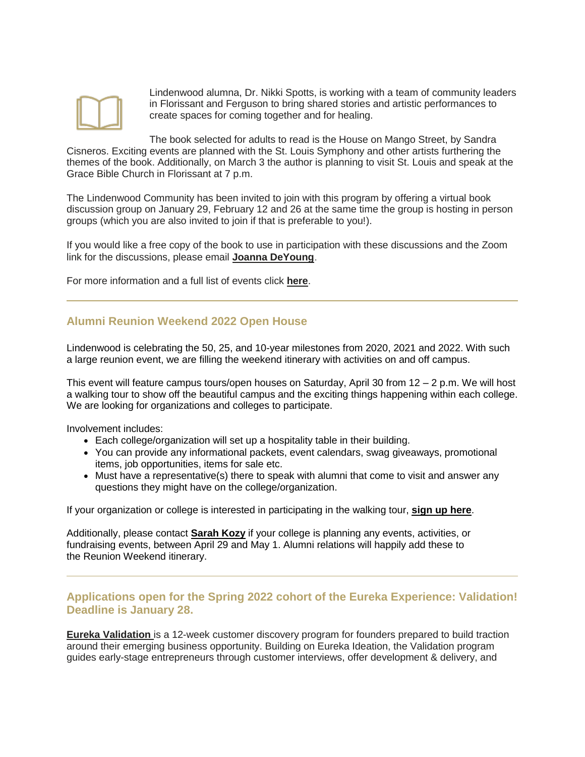

Lindenwood alumna, Dr. Nikki Spotts, is working with a team of community leaders in Florissant and Ferguson to bring shared stories and artistic performances to create spaces for coming together and for healing.

The book selected for adults to read is the House on Mango Street, by Sandra Cisneros. Exciting events are planned with the St. Louis Symphony and other artists furthering the themes of the book. Additionally, on March 3 the author is planning to visit St. Louis and speak at the Grace Bible Church in Florissant at 7 p.m.

The Lindenwood Community has been invited to join with this program by offering a virtual book discussion group on January 29, February 12 and 26 at the same time the group is hosting in person groups (which you are also invited to join if that is preferable to you!).

If you would like a free copy of the book to use in participation with these discussions and the Zoom link for the discussions, please email **[Joanna DeYoung](mailto:jdeyoung@lindenwood.edu)**.

For more information and a full list of events click **[here](https://nam04.safelinks.protection.outlook.com/?url=https%3A%2F%2Fr20.rs6.net%2Ftn.jsp%3Ff%3D0016clPOk0z6ozMOL9gi8fDOdQB1GOH76nnbc1mCVafmjIS_ncM8N-CUkGjYbkWLtOSIcOVZGpzu3hXV4x4dQmYOsSRyEpW4FapP00bl8cSalLXfAthhRJBSWqXLELzbDAGQcXumcuB0kQtbgMMc1a3A9q4l2eCcCN80z-rFssGEM5PWfpVgCbuPTmBGJAdJmOJ09fYYIigF0z0gI1rlforZyzgHaZwf61W-8wPHWv309U%3D%26c%3D4syhbrVWvEvuy3nJ6UehLKvKPg9XGZ8cdU4p_W3Enw4aG_K9A-buiA%3D%3D%26ch%3DYqQJpsCrLfE9mSU_pap2RSvapfkctnOoIe6Gy4V0z5RXcP-ThmnGdg%3D%3D&data=04%7C01%7Cphuffman%40lindenwood.edu%7C245929402bf04f794ad708d9e0e0d585%7C3d72f08e540a4c68905d9e69c4d9c61e%7C1%7C0%7C637788078536020339%7CUnknown%7CTWFpbGZsb3d8eyJWIjoiMC4wLjAwMDAiLCJQIjoiV2luMzIiLCJBTiI6Ik1haWwiLCJXVCI6Mn0%3D%7C3000&sdata=NmMrlB%2BpD65E7CVYXYheAnzErAMOux29pDZt%2B%2BI93r8%3D&reserved=0)**.

### **Alumni Reunion Weekend 2022 Open House**

Lindenwood is celebrating the 50, 25, and 10-year milestones from 2020, 2021 and 2022. With such a large reunion event, we are filling the weekend itinerary with activities on and off campus.

This event will feature campus tours/open houses on Saturday, April 30 from 12 – 2 p.m. We will host a walking tour to show off the beautiful campus and the exciting things happening within each college. We are looking for organizations and colleges to participate.

Involvement includes:

- Each college/organization will set up a hospitality table in their building.
- You can provide any informational packets, event calendars, swag giveaways, promotional items, job opportunities, items for sale etc.
- Must have a representative(s) there to speak with alumni that come to visit and answer any questions they might have on the college/organization.

If your organization or college is interested in participating in the walking tour, **[sign up here](https://nam04.safelinks.protection.outlook.com/?url=https%3A%2F%2Fr20.rs6.net%2Ftn.jsp%3Ff%3D0016clPOk0z6ozMOL9gi8fDOdQB1GOH76nnbc1mCVafmjIS_ncM8N-CUkGjYbkWLtOSEf8SgPaH7X_YLB7hMSa5b5txyJaEv0JegoNgfXUOdAZ9bqDcPMwEH-Laz37tBK6lp-JLppR3uyrNFlEoxcwPiaYQAdpE8nGlZbkpyzl-4asjevI0ZVm1WMYCX0C21PrFxq_QYfGuozcXo4aTYkxAWd4gMsvQR_VsFJRAZqLAamGckpo8TzhowMqkosAG7RJq2X10-Rbpmqcw87HxSQ9oCbk6F3EWzEynuR50c89Xe6OslRUdTBP6WuU_DBfbw-SPOzfN2Gtg0n_tPRGkANoAkn_o_ynUuNI84HrRY1_BqNl7cyaZddAxbSIrrH9KFu3Vnyj_DLvG7xreoWjqmv4V93TITZGj0d5L6h-sfqPztjTG-sGjGF7RkhNi8cPEdqh6dm1X9h0w1oK_OA_-VFwnHATwDityqtjCUnVgeXURCAcJXHUiJCj5D_jgKwnL4l0vXrDmMkHI1okM4gQwJSUCE8tUVqnyzsV_mHpXLvi3gC5H4lrv-3T4vAX0elVVHNodY3SIYIxtlPx8dAGw-fw--ktnqv4Ih-jfH1uSKwELSD-Pu5edeJ7jg3GfeGTeKqp6wOulU_HZWZlZrd7sHKeHV40IQ2RZr3iF7Pj1fYV0Y4HXXNJmnkw0o0yYlfHIkhgoz-GOi06AIre6GO1xinZ-O9KrWXsrxTOrZmZE2B5_1we4bJSw1ZNCvNZgyJuYagR1mMs9d02dHMk39rtFA3Wm5Xs73epXpfS6DAV6DlbPxOvCMVoiJzgofRuZRxYH6hDhkZb4j2026m_mUWVJZF14bUbAT3PG6-PIKwHWAfYkCcFiIlcBrcUEO2hsRjY5uhwR2GRdGhEHbMp3j4MTz8w05jN6fxpdTFT9%26c%3D4syhbrVWvEvuy3nJ6UehLKvKPg9XGZ8cdU4p_W3Enw4aG_K9A-buiA%3D%3D%26ch%3DYqQJpsCrLfE9mSU_pap2RSvapfkctnOoIe6Gy4V0z5RXcP-ThmnGdg%3D%3D&data=04%7C01%7Cphuffman%40lindenwood.edu%7C245929402bf04f794ad708d9e0e0d585%7C3d72f08e540a4c68905d9e69c4d9c61e%7C1%7C0%7C637788078536020339%7CUnknown%7CTWFpbGZsb3d8eyJWIjoiMC4wLjAwMDAiLCJQIjoiV2luMzIiLCJBTiI6Ik1haWwiLCJXVCI6Mn0%3D%7C3000&sdata=cuf2IXHRMbGdbOGl%2FMJWueZTIqqJh4PJeM1ugONDHLY%3D&reserved=0)**.

Additionally, please contact **[Sarah Kozy](mailto:skozy@lindenwood.edu)** if your college is planning any events, activities, or fundraising events, between April 29 and May 1. Alumni relations will happily add these to the Reunion Weekend itinerary.

### **Applications open for the Spring 2022 cohort of the Eureka Experience: Validation! Deadline is January 28.**

**[Eureka Validation](https://nam04.safelinks.protection.outlook.com/?url=https%3A%2F%2Fr20.rs6.net%2Ftn.jsp%3Ff%3D0016clPOk0z6ozMOL9gi8fDOdQB1GOH76nnbc1mCVafmjIS_ncM8N-CUjR_rwcIbnKLAdgOEKS2sx1p0xlYmdfha-8ArA5pQvoT3nR6H1udNBmtUrTlP47noXF3l9Aezz8eHr4DdTHLL39HYBtNl5FhcVXr_inERoRNulNYqxMYP2yMShSJ-S4qeV14DGk31nNqjpF0lWOxM6GY1viDb2Il9JaUvw2_Am2F%26c%3D4syhbrVWvEvuy3nJ6UehLKvKPg9XGZ8cdU4p_W3Enw4aG_K9A-buiA%3D%3D%26ch%3DYqQJpsCrLfE9mSU_pap2RSvapfkctnOoIe6Gy4V0z5RXcP-ThmnGdg%3D%3D&data=04%7C01%7Cphuffman%40lindenwood.edu%7C245929402bf04f794ad708d9e0e0d585%7C3d72f08e540a4c68905d9e69c4d9c61e%7C1%7C0%7C637788078536020339%7CUnknown%7CTWFpbGZsb3d8eyJWIjoiMC4wLjAwMDAiLCJQIjoiV2luMzIiLCJBTiI6Ik1haWwiLCJXVCI6Mn0%3D%7C3000&sdata=UCsK4Q4jhJ1LSyi9PuvwzINJ6%2FVO6eKRAr4ybZpgGzA%3D&reserved=0)** is a 12-week customer discovery program for founders prepared to build traction around their emerging business opportunity. Building on Eureka Ideation, the Validation program guides early-stage entrepreneurs through customer interviews, offer development & delivery, and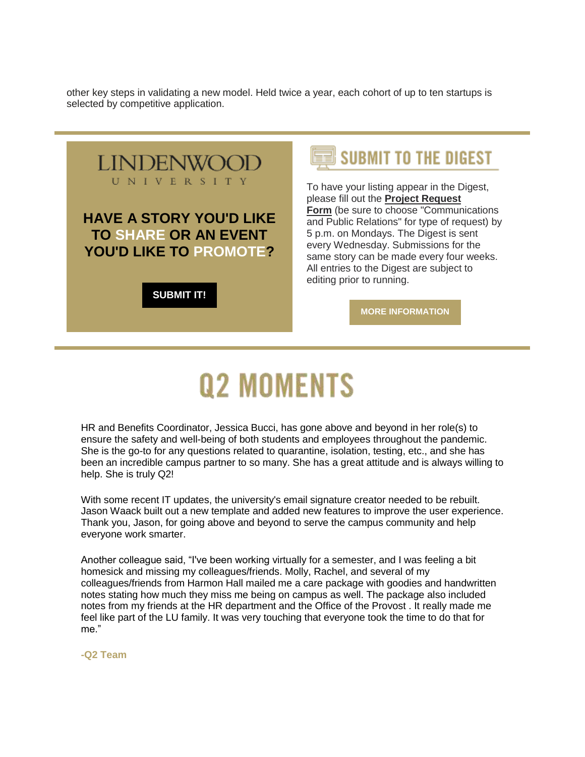other key steps in validating a new model. Held twice a year, each cohort of up to ten startups is selected by competitive application.

**LINDENWOO** UNIVERSITY **HAVE A STORY YOU'D LIKE TO SHARE OR AN EVENT YOU'D LIKE TO PROMOTE?** 

**[SUBMIT IT!](https://nam04.safelinks.protection.outlook.com/?url=https%3A%2F%2Fr20.rs6.net%2Ftn.jsp%3Ff%3D0016clPOk0z6ozMOL9gi8fDOdQB1GOH76nnbc1mCVafmjIS_ncM8N-CUsNzoWSybODNlL7wLJRlxGcZVJ2ZU2HK5f-hBShhsRoR4XKKNWdcgxKPLG4PbWAR1dsuNXuuUr-ldQ4D2qRV0HvMqYwJhAvct5b7vCkGayLFPz76YYUwrgRsO1C4S1kPvw5aHiTnJ7vXg1VX_AYeFEBUfljaKSdPJwuuqBOu-RmJ%26c%3D4syhbrVWvEvuy3nJ6UehLKvKPg9XGZ8cdU4p_W3Enw4aG_K9A-buiA%3D%3D%26ch%3DYqQJpsCrLfE9mSU_pap2RSvapfkctnOoIe6Gy4V0z5RXcP-ThmnGdg%3D%3D&data=04%7C01%7Cphuffman%40lindenwood.edu%7C245929402bf04f794ad708d9e0e0d585%7C3d72f08e540a4c68905d9e69c4d9c61e%7C1%7C0%7C637788078536020339%7CUnknown%7CTWFpbGZsb3d8eyJWIjoiMC4wLjAwMDAiLCJQIjoiV2luMzIiLCJBTiI6Ik1haWwiLCJXVCI6Mn0%3D%7C3000&sdata=C9d2sqspDukfdPb6LOJ%2F0uztLcfX%2BcihCFzYafQfNbE%3D&reserved=0)**

## **SUBMIT TO THE DIGEST**

To have your listing appear in the Digest, please fill out the **[Project Request](https://nam04.safelinks.protection.outlook.com/?url=https%3A%2F%2Fr20.rs6.net%2Ftn.jsp%3Ff%3D0016clPOk0z6ozMOL9gi8fDOdQB1GOH76nnbc1mCVafmjIS_ncM8N-CUsNzoWSybODNlL7wLJRlxGcZVJ2ZU2HK5f-hBShhsRoR4XKKNWdcgxKPLG4PbWAR1dsuNXuuUr-ldQ4D2qRV0HvMqYwJhAvct5b7vCkGayLFPz76YYUwrgRsO1C4S1kPvw5aHiTnJ7vXg1VX_AYeFEBUfljaKSdPJwuuqBOu-RmJ%26c%3D4syhbrVWvEvuy3nJ6UehLKvKPg9XGZ8cdU4p_W3Enw4aG_K9A-buiA%3D%3D%26ch%3DYqQJpsCrLfE9mSU_pap2RSvapfkctnOoIe6Gy4V0z5RXcP-ThmnGdg%3D%3D&data=04%7C01%7Cphuffman%40lindenwood.edu%7C245929402bf04f794ad708d9e0e0d585%7C3d72f08e540a4c68905d9e69c4d9c61e%7C1%7C0%7C637788078536020339%7CUnknown%7CTWFpbGZsb3d8eyJWIjoiMC4wLjAwMDAiLCJQIjoiV2luMzIiLCJBTiI6Ik1haWwiLCJXVCI6Mn0%3D%7C3000&sdata=C9d2sqspDukfdPb6LOJ%2F0uztLcfX%2BcihCFzYafQfNbE%3D&reserved=0)  [Form](https://nam04.safelinks.protection.outlook.com/?url=https%3A%2F%2Fr20.rs6.net%2Ftn.jsp%3Ff%3D0016clPOk0z6ozMOL9gi8fDOdQB1GOH76nnbc1mCVafmjIS_ncM8N-CUsNzoWSybODNlL7wLJRlxGcZVJ2ZU2HK5f-hBShhsRoR4XKKNWdcgxKPLG4PbWAR1dsuNXuuUr-ldQ4D2qRV0HvMqYwJhAvct5b7vCkGayLFPz76YYUwrgRsO1C4S1kPvw5aHiTnJ7vXg1VX_AYeFEBUfljaKSdPJwuuqBOu-RmJ%26c%3D4syhbrVWvEvuy3nJ6UehLKvKPg9XGZ8cdU4p_W3Enw4aG_K9A-buiA%3D%3D%26ch%3DYqQJpsCrLfE9mSU_pap2RSvapfkctnOoIe6Gy4V0z5RXcP-ThmnGdg%3D%3D&data=04%7C01%7Cphuffman%40lindenwood.edu%7C245929402bf04f794ad708d9e0e0d585%7C3d72f08e540a4c68905d9e69c4d9c61e%7C1%7C0%7C637788078536020339%7CUnknown%7CTWFpbGZsb3d8eyJWIjoiMC4wLjAwMDAiLCJQIjoiV2luMzIiLCJBTiI6Ik1haWwiLCJXVCI6Mn0%3D%7C3000&sdata=C9d2sqspDukfdPb6LOJ%2F0uztLcfX%2BcihCFzYafQfNbE%3D&reserved=0)** (be sure to choose "Communications and Public Relations" for type of request) by 5 p.m. on Mondays. The Digest is sent every Wednesday. Submissions for the same story can be made every four weeks. All entries to the Digest are subject to editing prior to running.

**[MORE INFORMATION](https://nam04.safelinks.protection.outlook.com/?url=https%3A%2F%2Fr20.rs6.net%2Ftn.jsp%3Ff%3D0016clPOk0z6ozMOL9gi8fDOdQB1GOH76nnbc1mCVafmjIS_ncM8N-CUp5fcmLKECRBdlCso8SZWzwDDFczoUBmb-cwmAfqQMsfdOm7-pxB1-3vsGqwNBYJeiPK0dcZschB65aGBs2I2QpOvYvheZvd93d7aLD08mVMoeb-clq0yNrN27ARzXzcVbaxv9ffFnPWk_xu6nBlXarL-hxHy4HnoXZPyuwahhxFMRhlnpNgVkAaSzorW26-VA%3D%3D%26c%3D4syhbrVWvEvuy3nJ6UehLKvKPg9XGZ8cdU4p_W3Enw4aG_K9A-buiA%3D%3D%26ch%3DYqQJpsCrLfE9mSU_pap2RSvapfkctnOoIe6Gy4V0z5RXcP-ThmnGdg%3D%3D&data=04%7C01%7Cphuffman%40lindenwood.edu%7C245929402bf04f794ad708d9e0e0d585%7C3d72f08e540a4c68905d9e69c4d9c61e%7C1%7C0%7C637788078536020339%7CUnknown%7CTWFpbGZsb3d8eyJWIjoiMC4wLjAwMDAiLCJQIjoiV2luMzIiLCJBTiI6Ik1haWwiLCJXVCI6Mn0%3D%7C3000&sdata=1BG9EzVvOk%2BFndQQuCpmSg3ItlmkeuD4nhdzSDEhNyA%3D&reserved=0)**

# **Q2 MOMENTS**

HR and Benefits Coordinator, Jessica Bucci, has gone above and beyond in her role(s) to ensure the safety and well-being of both students and employees throughout the pandemic. She is the go-to for any questions related to quarantine, isolation, testing, etc., and she has been an incredible campus partner to so many. She has a great attitude and is always willing to help. She is truly Q2!

With some recent IT updates, the university's email signature creator needed to be rebuilt. Jason Waack built out a new template and added new features to improve the user experience. Thank you, Jason, for going above and beyond to serve the campus community and help everyone work smarter.

Another colleague said, "I've been working virtually for a semester, and I was feeling a bit homesick and missing my colleagues/friends. Molly, Rachel, and several of my colleagues/friends from Harmon Hall mailed me a care package with goodies and handwritten notes stating how much they miss me being on campus as well. The package also included notes from my friends at the HR department and the Office of the Provost . It really made me feel like part of the LU family. It was very touching that everyone took the time to do that for me."

**-Q2 Team**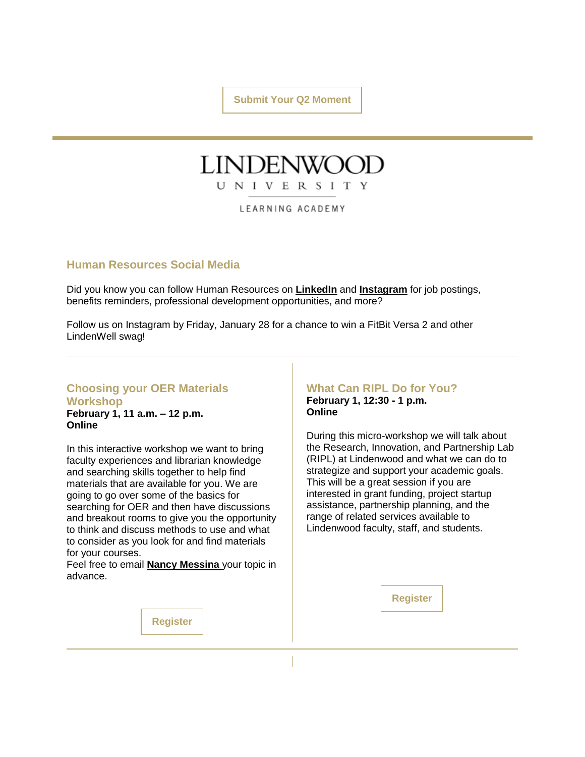**[Submit Your Q2 Moment](https://nam04.safelinks.protection.outlook.com/?url=https%3A%2F%2Fr20.rs6.net%2Ftn.jsp%3Ff%3D0016clPOk0z6ozMOL9gi8fDOdQB1GOH76nnbc1mCVafmjIS_ncM8N-CUp5fcmLKECRBtMy-Tw_2jDRpZneupWDMaErdrscbYcQbLbr3gNhjLt1CVjVpFj6OePBrLT5mGEnRmBTAU9TrU6FaRtIQrB3LjrsOgpI8Q_vS3zqyhNQw0j340CBwC40BC3jezxbNcLkGlXWBIlIozC1xsZh2KKgBT0QOsTldrC86DGEGkXHmeQnve_mGCHrdkCY4UvAYIx_TxmRulA8yoWIbMxJzOjFrkQ%3D%3D%26c%3D4syhbrVWvEvuy3nJ6UehLKvKPg9XGZ8cdU4p_W3Enw4aG_K9A-buiA%3D%3D%26ch%3DYqQJpsCrLfE9mSU_pap2RSvapfkctnOoIe6Gy4V0z5RXcP-ThmnGdg%3D%3D&data=04%7C01%7Cphuffman%40lindenwood.edu%7C245929402bf04f794ad708d9e0e0d585%7C3d72f08e540a4c68905d9e69c4d9c61e%7C1%7C0%7C637788078536020339%7CUnknown%7CTWFpbGZsb3d8eyJWIjoiMC4wLjAwMDAiLCJQIjoiV2luMzIiLCJBTiI6Ik1haWwiLCJXVCI6Mn0%3D%7C3000&sdata=Z74zW8SqmWuMZOZ6Ydrm5yO0yPUJNSG9LWLMH%2BgI7nM%3D&reserved=0)**

### LINDENWO UNIVERSITY

LEARNING ACADEMY

### **Human Resources Social Media**

Did you know you can follow Human Resources on **[LinkedIn](https://nam04.safelinks.protection.outlook.com/?url=https%3A%2F%2Fr20.rs6.net%2Ftn.jsp%3Ff%3D0016clPOk0z6ozMOL9gi8fDOdQB1GOH76nnbc1mCVafmjIS_ncM8N-CUkGjYbkWLtOSusnuN7Doib8hvoVgFVi9oTQAlNN1X_MsPTfEGJVwXIlCBKgapgQVvdhvYejmOpaCs3u4ejGp365IS_ERKwAnsOiLAaAtfNXLkF4RMCD0JoyROWZtQQSRTfp6Ftg57UDnJzfr41h4lvQ%3D%26c%3D4syhbrVWvEvuy3nJ6UehLKvKPg9XGZ8cdU4p_W3Enw4aG_K9A-buiA%3D%3D%26ch%3DYqQJpsCrLfE9mSU_pap2RSvapfkctnOoIe6Gy4V0z5RXcP-ThmnGdg%3D%3D&data=04%7C01%7Cphuffman%40lindenwood.edu%7C245929402bf04f794ad708d9e0e0d585%7C3d72f08e540a4c68905d9e69c4d9c61e%7C1%7C0%7C637788078536020339%7CUnknown%7CTWFpbGZsb3d8eyJWIjoiMC4wLjAwMDAiLCJQIjoiV2luMzIiLCJBTiI6Ik1haWwiLCJXVCI6Mn0%3D%7C3000&sdata=8z9fQrqdw6e9pPHEdpTcRMM2sc30fi76YBMNKNztMl0%3D&reserved=0)** and **[Instagram](https://nam04.safelinks.protection.outlook.com/?url=https%3A%2F%2Fr20.rs6.net%2Ftn.jsp%3Ff%3D0016clPOk0z6ozMOL9gi8fDOdQB1GOH76nnbc1mCVafmjIS_ncM8N-CUkGjYbkWLtOSRH6sB1YROnm9mb_4LMJbhIcSCysev-lJ6bkxFY6jnw9lZDj-Z7kiQyXPfzkL3YfQW1e90CJu4npky7k5ikkf2ktmv92MiKRk7Bo-MvJNxHtu1pcLLjs_OQ%3D%3D%26c%3D4syhbrVWvEvuy3nJ6UehLKvKPg9XGZ8cdU4p_W3Enw4aG_K9A-buiA%3D%3D%26ch%3DYqQJpsCrLfE9mSU_pap2RSvapfkctnOoIe6Gy4V0z5RXcP-ThmnGdg%3D%3D&data=04%7C01%7Cphuffman%40lindenwood.edu%7C245929402bf04f794ad708d9e0e0d585%7C3d72f08e540a4c68905d9e69c4d9c61e%7C1%7C0%7C637788078536020339%7CUnknown%7CTWFpbGZsb3d8eyJWIjoiMC4wLjAwMDAiLCJQIjoiV2luMzIiLCJBTiI6Ik1haWwiLCJXVCI6Mn0%3D%7C3000&sdata=7RTZex6jZX%2FF7ihzdRbIQ%2BolFPhXPjO3E%2FLdeno9lKA%3D&reserved=0)** for job postings, benefits reminders, professional development opportunities, and more?

Follow us on Instagram by Friday, January 28 for a chance to win a FitBit Versa 2 and other LindenWell swag!

### **Choosing your OER Materials Workshop**

**February 1, 11 a.m. – 12 p.m. Online**

In this interactive workshop we want to bring faculty experiences and librarian knowledge and searching skills together to help find materials that are available for you. We are going to go over some of the basics for searching for OER and then have discussions and breakout rooms to give you the opportunity to think and discuss methods to use and what to consider as you look for and find materials for your courses.

Feel free to email **[Nancy Messina](mailto:nmessina@lindenwood.edu)** your topic in advance.

### **What Can RIPL Do for You?**

**February 1, 12:30 - 1 p.m. Online**

During this micro-workshop we will talk about the Research, Innovation, and Partnership Lab (RIPL) at Lindenwood and what we can do to strategize and support your academic goals. This will be a great session if you are interested in grant funding, project startup assistance, partnership planning, and the range of related services available to Lindenwood faculty, staff, and students.

**[Register](https://nam04.safelinks.protection.outlook.com/?url=https%3A%2F%2Fr20.rs6.net%2Ftn.jsp%3Ff%3D0016clPOk0z6ozMOL9gi8fDOdQB1GOH76nnbc1mCVafmjIS_ncM8N-CUkGjYbkWLtOSmYTfe5hA0mF8H511IOcRef0dJ8qPd45XX--9lmd2mEAdI_9puxBnz0pd1n6CU87sxAwq_EIEg57j4djNtAkgxZ2mHMy1hKzVqVylbmYVw_U%3D%26c%3D4syhbrVWvEvuy3nJ6UehLKvKPg9XGZ8cdU4p_W3Enw4aG_K9A-buiA%3D%3D%26ch%3DYqQJpsCrLfE9mSU_pap2RSvapfkctnOoIe6Gy4V0z5RXcP-ThmnGdg%3D%3D&data=04%7C01%7Cphuffman%40lindenwood.edu%7C245929402bf04f794ad708d9e0e0d585%7C3d72f08e540a4c68905d9e69c4d9c61e%7C1%7C0%7C637788078536176571%7CUnknown%7CTWFpbGZsb3d8eyJWIjoiMC4wLjAwMDAiLCJQIjoiV2luMzIiLCJBTiI6Ik1haWwiLCJXVCI6Mn0%3D%7C3000&sdata=NwefLooH23DrluSbFGHjzaJZgjU%2FmFrzrFpmY%2B%2F80vc%3D&reserved=0)**

**[Register](https://nam04.safelinks.protection.outlook.com/?url=https%3A%2F%2Fr20.rs6.net%2Ftn.jsp%3Ff%3D0016clPOk0z6ozMOL9gi8fDOdQB1GOH76nnbc1mCVafmjIS_ncM8N-CUkGjYbkWLtOS7bBsnUd5NOVBQBnR1Igf18BcofhVAC3y-gSuLkh0-fLlO6uw8VLrUcRfNbrYrLHyoG15fzr8p2MVaDda9esjVeYJK0-BLs-N5vw9N00cgA0%3D%26c%3D4syhbrVWvEvuy3nJ6UehLKvKPg9XGZ8cdU4p_W3Enw4aG_K9A-buiA%3D%3D%26ch%3DYqQJpsCrLfE9mSU_pap2RSvapfkctnOoIe6Gy4V0z5RXcP-ThmnGdg%3D%3D&data=04%7C01%7Cphuffman%40lindenwood.edu%7C245929402bf04f794ad708d9e0e0d585%7C3d72f08e540a4c68905d9e69c4d9c61e%7C1%7C0%7C637788078536020339%7CUnknown%7CTWFpbGZsb3d8eyJWIjoiMC4wLjAwMDAiLCJQIjoiV2luMzIiLCJBTiI6Ik1haWwiLCJXVCI6Mn0%3D%7C3000&sdata=6mcloMRw%2B9JvxH9IPSfemdQL9uhiUsut5KckJHoYUKE%3D&reserved=0)**